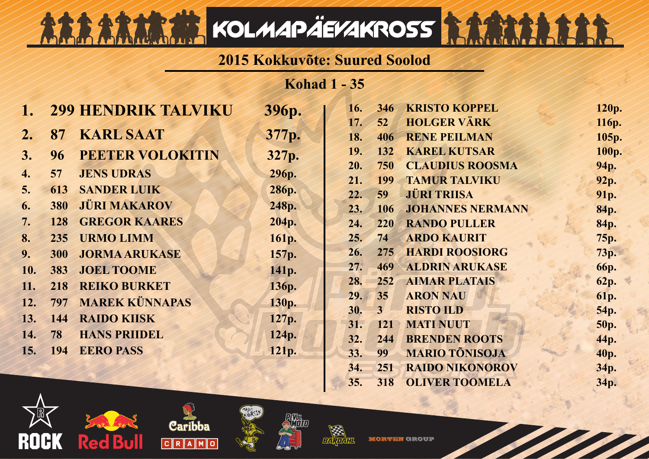## **2015 Kokkuvõte: Suured Soolod**

KOLMAPÄEVAKROSS

**Kohad 1 - 35**

|                |            | <b>299 HENDRIK TALVIKU</b> | 396р. | 16. | 346                   | <b>KRISTO KOPPEL</b>    | 120p.       |
|----------------|------------|----------------------------|-------|-----|-----------------------|-------------------------|-------------|
|                |            |                            |       | 17. | 52                    | <b>HOLGER VÄRK</b>      | 116p.       |
| 2.             | 87         | <b>KARL SAAT</b>           | 377p. | 18. | 406                   | <b>RENE PEILMAN</b>     | 105p.       |
| 3 <sub>1</sub> | 96         | <b>PEETER VOLOKITIN</b>    | 327p. | 19. | 132                   | <b>KAREL KUTSAR</b>     | 100p.       |
| 4.             | 57         | <b>JENS UDRAS</b>          | 296p. | 20. | 750                   | <b>CLAUDIUS ROOSMA</b>  | 94p.        |
|                |            |                            |       | 21. | 199                   | <b>TAMUR TALVIKU</b>    | 92p.        |
| 5.             | 613        | <b>SANDER LUIK</b>         | 286p. | 22. | 59                    | <b>JÜRI TRIISA</b>      | 91p.        |
| 6.             | 380        | <b>JÜRI MAKAROV</b>        | 248p. | 23. | 106                   | <b>JOHANNES NERMANN</b> | 84p.        |
| 7.             | 128        | <b>GREGOR KAARES</b>       | 204p. | 24. | 220                   | <b>RANDO PULLER</b>     | 84p.        |
| 8.             | 235        | <b>URMO LIMM</b>           | 161p. | 25. | 74                    | <b>ARDO KAURIT</b>      | 75p.        |
| 9.             | <b>300</b> | <b>JORMA ARUKASE</b>       | 157p. | 26. | 275                   | <b>HARDI ROOSIORG</b>   | 73p.        |
| 10.            | 383        | <b>JOEL TOOME</b>          | 141p. | 27. | 469                   | <b>ALDRIN ARUKASE</b>   | <b>66p.</b> |
| 11.            | 218        | <b>REIKO BURKET</b>        | 136p. | 28. | 252                   | <b>AIMAR PLATAIS</b>    | 62p.        |
| 12.            | 797        | <b>MAREK KÜNNAPAS</b>      | 130p. | 29. | 35                    | <b>ARON NAU</b>         | 61p.        |
|                |            |                            |       | 30. | $\mathbf{3}^{\prime}$ | <b>RISTO ILD</b>        | 54p.        |
| 13.            | 144        | <b>RAIDO KIISK</b>         | 127p. | 31. | 121                   | <b>MATI NUUT</b>        | <b>50p.</b> |
| 14.            | 78         | <b>HANS PRIIDEL</b>        | 124p. | 32. | 244                   | <b>BRENDEN ROOTS</b>    | 44p.        |
| 15.            | 194        | <b>EERO PASS</b>           | 121p. | 33. | 99                    | <b>MARIO TÕNISOJA</b>   | 40p.        |
|                |            |                            |       | 34. | 251                   | <b>RAIDO NIKONOROV</b>  | 34p.        |
|                |            |                            |       | 35. | 318                   | <b>OLIVER TOOMELA</b>   | 34p.        |





Lotalitet





**MORTEN GROUP**